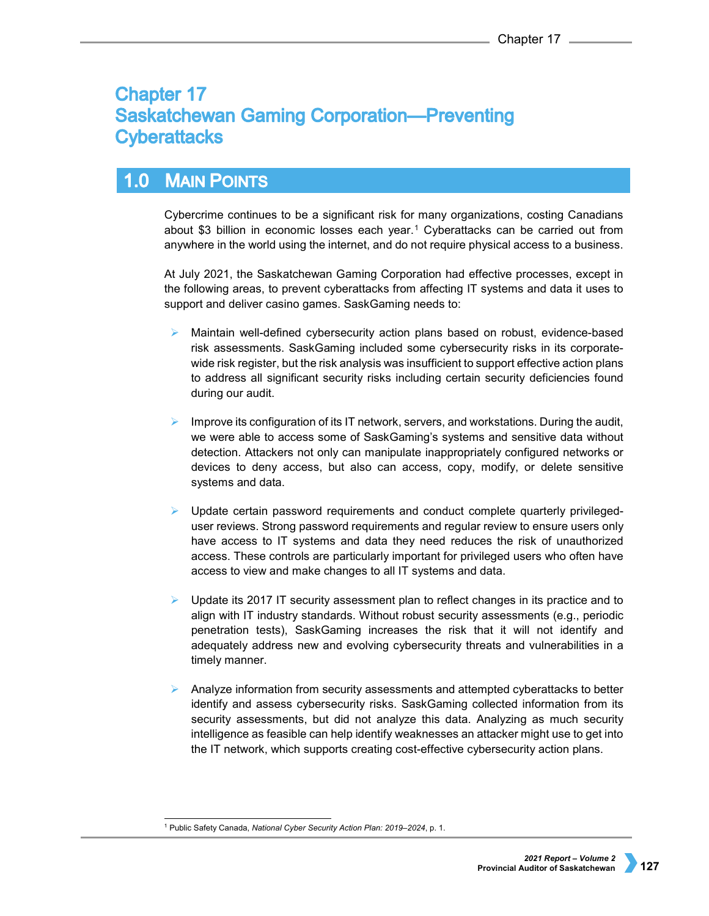# **Chapter 17 Saskatchewan Gaming Corporation-Preventing Cyberattacks**

## $1.0$ **MAIN POINTS**

Cybercrime continues to be a significant risk for many organizations, costing Canadians about \$3 billion in economic losses each year.[1](#page-0-0) Cyberattacks can be carried out from anywhere in the world using the internet, and do not require physical access to a business.

At July 2021, the Saskatchewan Gaming Corporation had effective processes, except in the following areas, to prevent cyberattacks from affecting IT systems and data it uses to support and deliver casino games. SaskGaming needs to:

- Maintain well-defined cybersecurity action plans based on robust, evidence-based risk assessments. SaskGaming included some cybersecurity risks in its corporatewide risk register, but the risk analysis was insufficient to support effective action plans to address all significant security risks including certain security deficiencies found during our audit.
- Improve its configuration of its IT network, servers, and workstations. During the audit, we were able to access some of SaskGaming's systems and sensitive data without detection. Attackers not only can manipulate inappropriately configured networks or devices to deny access, but also can access, copy, modify, or delete sensitive systems and data.
- Update certain password requirements and conduct complete quarterly privilegeduser reviews. Strong password requirements and regular review to ensure users only have access to IT systems and data they need reduces the risk of unauthorized access. These controls are particularly important for privileged users who often have access to view and make changes to all IT systems and data.
- Update its 2017 IT security assessment plan to reflect changes in its practice and to align with IT industry standards. Without robust security assessments (e.g., periodic penetration tests), SaskGaming increases the risk that it will not identify and adequately address new and evolving cybersecurity threats and vulnerabilities in a timely manner.
- Analyze information from security assessments and attempted cyberattacks to better identify and assess cybersecurity risks. SaskGaming collected information from its security assessments, but did not analyze this data. Analyzing as much security intelligence as feasible can help identify weaknesses an attacker might use to get into the IT network, which supports creating cost-effective cybersecurity action plans.

<span id="page-0-0"></span> <sup>1</sup> Public Safety Canada, *National Cyber Security Action Plan: 2019–2024*, p. 1.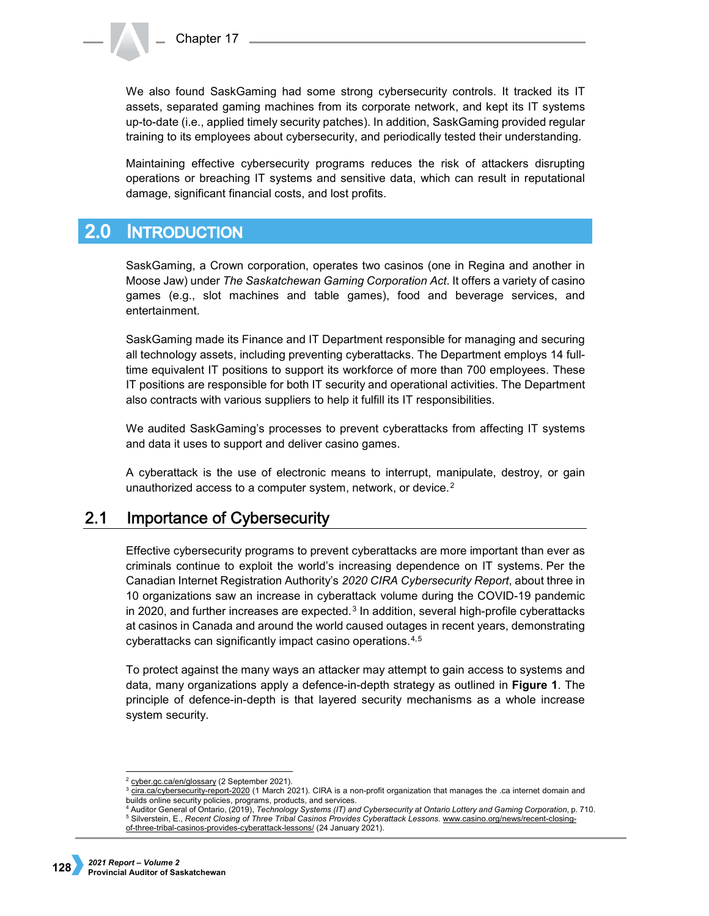We also found SaskGaming had some strong cybersecurity controls. It tracked its IT assets, separated gaming machines from its corporate network, and kept its IT systems up-to-date (i.e., applied timely security patches). In addition, SaskGaming provided regular training to its employees about cybersecurity, and periodically tested their understanding.

Maintaining effective cybersecurity programs reduces the risk of attackers disrupting operations or breaching IT systems and sensitive data, which can result in reputational damage, significant financial costs, and lost profits.

## $2.0$ **INTRODUCTION**

SaskGaming, a Crown corporation, operates two casinos (one in Regina and another in Moose Jaw) under *The Saskatchewan Gaming Corporation Act*. It offers a variety of casino games (e.g., slot machines and table games), food and beverage services, and entertainment.

SaskGaming made its Finance and IT Department responsible for managing and securing all technology assets, including preventing cyberattacks. The Department employs 14 fulltime equivalent IT positions to support its workforce of more than 700 employees. These IT positions are responsible for both IT security and operational activities. The Department also contracts with various suppliers to help it fulfill its IT responsibilities.

We audited SaskGaming's processes to prevent cyberattacks from affecting IT systems and data it uses to support and deliver casino games.

A cyberattack is the use of electronic means to interrupt, manipulate, destroy, or gain unauthorized access to a computer system, network, or device.<sup>[2](#page-1-0)</sup>

## $2.1$ **Importance of Cybersecurity**

Effective cybersecurity programs to prevent cyberattacks are more important than ever as criminals continue to exploit the world's increasing dependence on IT systems. Per the Canadian Internet Registration Authority's *2020 CIRA Cybersecurity Report*, about three in 10 organizations saw an increase in cyberattack volume during the COVID-19 pandemic in 2020, and further increases are expected. $3$  In addition, several high-profile cyberattacks at casinos in Canada and around the world caused outages in recent years, demonstrating cyberattacks can significantly impact casino operations.[4,](#page-1-2)[5](#page-1-3)

To protect against the many ways an attacker may attempt to gain access to systems and data, many organizations apply a defence-in-depth strategy as outlined in **Figure 1**. The principle of defence-in-depth is that layered security mechanisms as a whole increase system security.

<sup>4</sup> Auditor General of Ontario, (2019), *Technology Systems (IT) and Cybersecurity at Ontario Lottery and Gaming Corporation*, p. 710. <sup>5</sup> Silverstein, E., *Recent Closing of Three Tribal Casinos Provides Cyberattack Lessons*[. www.casino.org/news/recent-closing-](http://www.casino.org/news/recent-closing-of-three-tribal-casinos-provides-cyberattack-lessons/)

<sup>&</sup>lt;sup>2</sup> [cyber.gc.ca/en/glossary](http://cyber.gc.ca/en/glossary) (2 September 2021).

<span id="page-1-1"></span><span id="page-1-0"></span><sup>&</sup>lt;sup>3</sup> [cira.ca/cybersecurity-report-2020](https://www.cira.ca/cybersecurity-report-2020) (1 March 2021). CIRA is a non-profit organization that manages the .ca internet domain and builds online security policies, programs, products, and services.

<span id="page-1-3"></span><span id="page-1-2"></span>[of-three-tribal-casinos-provides-cyberattack-lessons/](http://www.casino.org/news/recent-closing-of-three-tribal-casinos-provides-cyberattack-lessons/) (24 January 2021).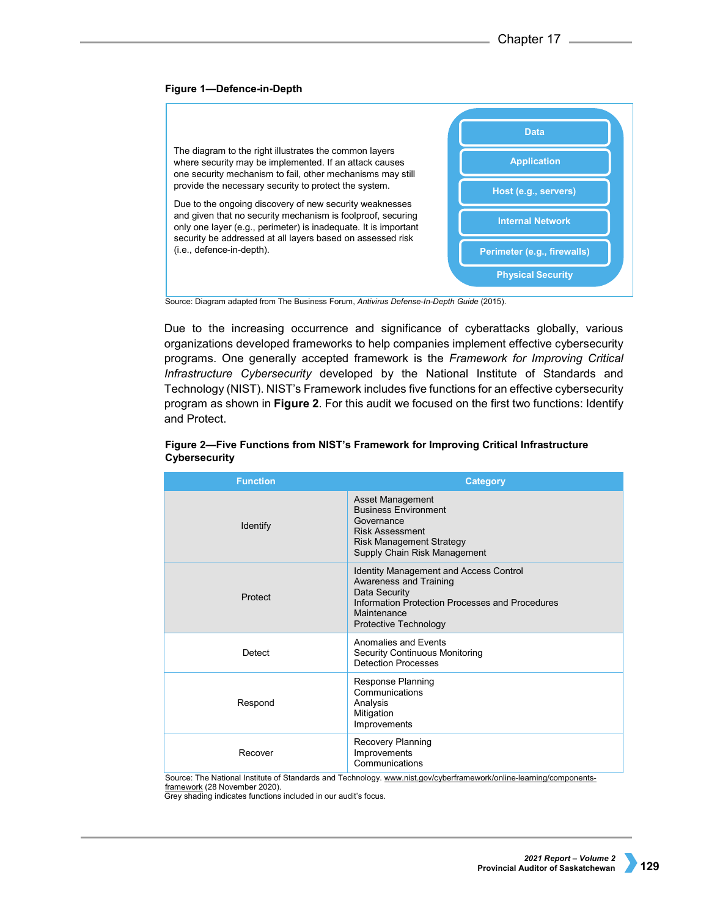# **Figure 1—Defence-in-Depth**



Source: Diagram adapted from The Business Forum, *Antivirus Defense-In-Depth Guide* (2015).

Due to the increasing occurrence and significance of cyberattacks globally, various organizations developed frameworks to help companies implement effective cybersecurity programs. One generally accepted framework is the *Framework for Improving Critical Infrastructure Cybersecurity* developed by the National Institute of Standards and Technology (NIST). NIST's Framework includes five functions for an effective cybersecurity program as shown in **Figure 2**. For this audit we focused on the first two functions: Identify and Protect.

| <b>Function</b> | <b>Category</b>                                                                                                                                                                     |
|-----------------|-------------------------------------------------------------------------------------------------------------------------------------------------------------------------------------|
| Identify        | Asset Management<br><b>Business Environment</b><br>Governance<br><b>Risk Assessment</b><br><b>Risk Management Strategy</b><br>Supply Chain Risk Management                          |
| Protect         | <b>Identity Management and Access Control</b><br>Awareness and Training<br>Data Security<br>Information Protection Processes and Procedures<br>Maintenance<br>Protective Technology |
| Detect          | Anomalies and Events<br><b>Security Continuous Monitoring</b><br><b>Detection Processes</b>                                                                                         |
| Respond         | Response Planning<br>Communications<br>Analysis<br>Mitigation<br>Improvements                                                                                                       |
| Recover         | Recovery Planning<br>Improvements<br>Communications                                                                                                                                 |

# **Figure 2—Five Functions from NIST's Framework for Improving Critical Infrastructure Cybersecurity**

Source: The National Institute of Standards and Technology[. www.nist.gov/cyberframework/online-learning/components](http://www.nist.gov/cyberframework/online-learning/components-framework)[framework](http://www.nist.gov/cyberframework/online-learning/components-framework) (28 November 2020).

Grey shading indicates functions included in our audit's focus.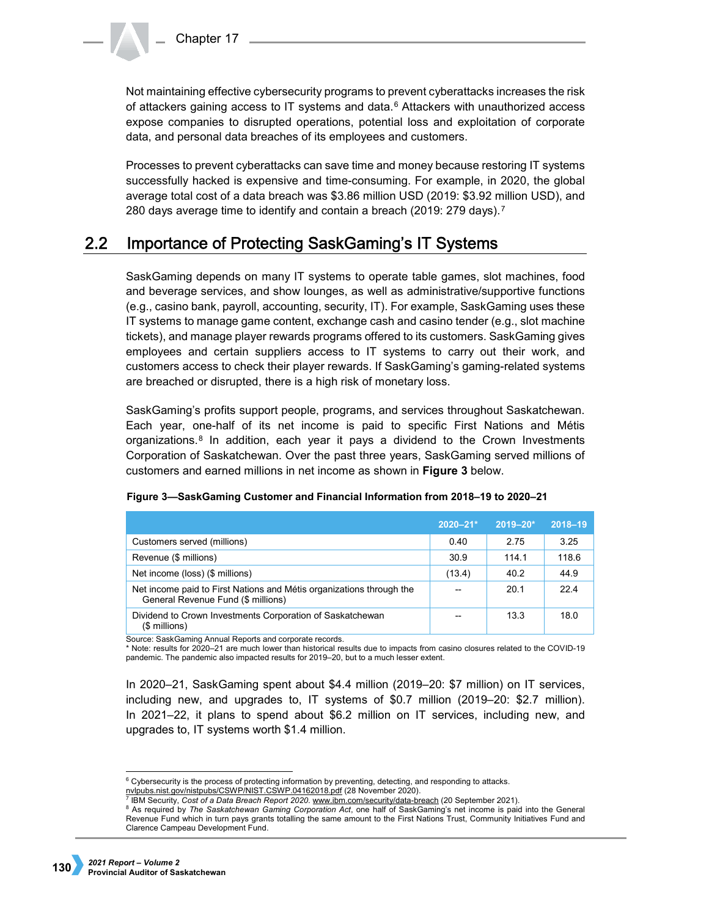Not maintaining effective cybersecurity programs to prevent cyberattacks increases the risk of attackers gaining access to IT systems and data.[6](#page-3-0) Attackers with unauthorized access expose companies to disrupted operations, potential loss and exploitation of corporate data, and personal data breaches of its employees and customers.

Processes to prevent cyberattacks can save time and money because restoring IT systems successfully hacked is expensive and time-consuming. For example, in 2020, the global average total cost of a data breach was \$3.86 million USD (2019: \$3.92 million USD), and 280 days average time to identify and contain a breach (2019: 279 days).[7](#page-3-1)

#### $2.2$ **Importance of Protecting SaskGaming's IT Systems**

SaskGaming depends on many IT systems to operate table games, slot machines, food and beverage services, and show lounges, as well as administrative/supportive functions (e.g., casino bank, payroll, accounting, security, IT). For example, SaskGaming uses these IT systems to manage game content, exchange cash and casino tender (e.g., slot machine tickets), and manage player rewards programs offered to its customers. SaskGaming gives employees and certain suppliers access to IT systems to carry out their work, and customers access to check their player rewards. If SaskGaming's gaming-related systems are breached or disrupted, there is a high risk of monetary loss.

SaskGaming's profits support people, programs, and services throughout Saskatchewan. Each year, one-half of its net income is paid to specific First Nations and Métis organizations.<sup>[8](#page-3-2)</sup> In addition, each year it pays a dividend to the Crown Investments Corporation of Saskatchewan. Over the past three years, SaskGaming served millions of customers and earned millions in net income as shown in **Figure 3** below.

|                                                                                                            | $2020 - 21*$ | $2019 - 20*$ | 2018-19 |
|------------------------------------------------------------------------------------------------------------|--------------|--------------|---------|
| Customers served (millions)                                                                                | 0.40         | 2.75         | 3.25    |
| Revenue (\$ millions)                                                                                      | 30.9         | 114 1        | 118.6   |
| Net income (loss) (\$ millions)                                                                            | (13.4)       | 40.2         | 44.9    |
| Net income paid to First Nations and Métis organizations through the<br>General Revenue Fund (\$ millions) |              | 20.1         | 224     |
| Dividend to Crown Investments Corporation of Saskatchewan<br>(\$ millions)                                 |              | 13.3         | 18.0    |

# **Figure 3—SaskGaming Customer and Financial Information from 2018–19 to 2020–21**

Source: SaskGaming Annual Reports and corporate records.

\* Note: results for 2020–21 are much lower than historical results due to impacts from casino closures related to the COVID-19 pandemic. The pandemic also impacted results for 2019–20, but to a much lesser extent.

In 2020–21, SaskGaming spent about \$4.4 million (2019–20: \$7 million) on IT services, including new, and upgrades to, IT systems of \$0.7 million (2019–20: \$2.7 million). In 2021–22, it plans to spend about \$6.2 million on IT services, including new, and upgrades to, IT systems worth \$1.4 million.

<span id="page-3-0"></span><sup>&</sup>lt;sup>6</sup> Cybersecurity is the process of protecting information by preventing, detecting, and responding to attacks. [nvlpubs.nist.gov/nistpubs/CSWP/NIST.CSWP.04162018.pdf](https://nvlpubs.nist.gov/nistpubs/CSWP/NIST.CSWP.04162018.pdf) (28 November 2020).

<sup>7</sup> IBM Security, *Cost of a Data Breach Report 2020*[. www.ibm.com/security/data-breach](http://www.ibm.com/security/data-breach) (20 September 2021).

<span id="page-3-2"></span><span id="page-3-1"></span><sup>&</sup>lt;sup>8</sup> As required by *The Saskatchewan Gaming Corporation Act*, one half of SaskGaming's net income is paid into the General Revenue Fund which in turn pays grants totalling the same amount to the First Nations Trust, Community Initiatives Fund and Clarence Campeau Development Fund.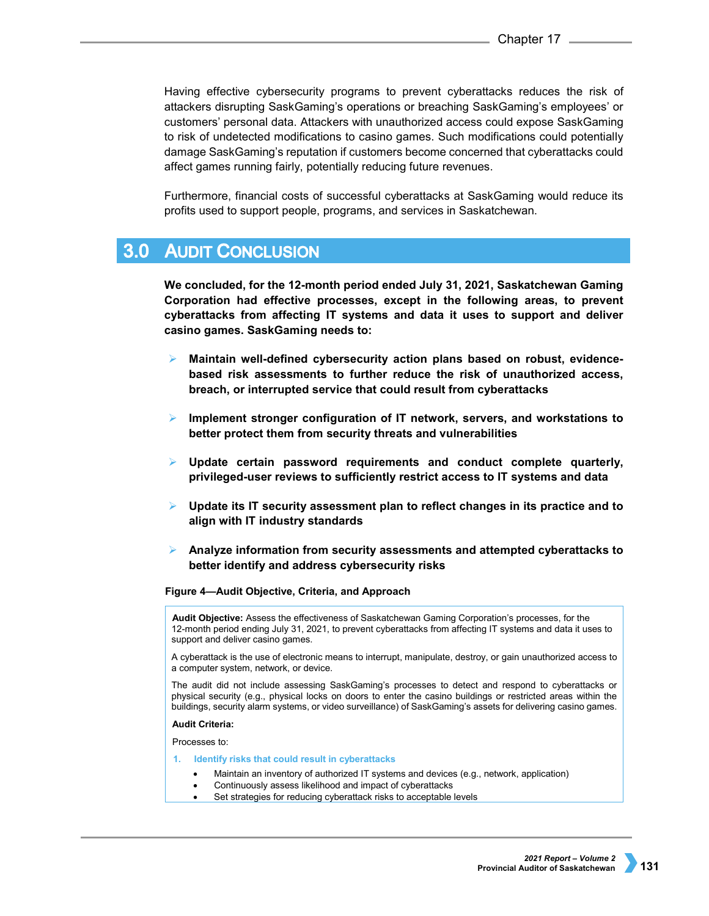Having effective cybersecurity programs to prevent cyberattacks reduces the risk of attackers disrupting SaskGaming's operations or breaching SaskGaming's employees' or customers' personal data. Attackers with unauthorized access could expose SaskGaming to risk of undetected modifications to casino games. Such modifications could potentially damage SaskGaming's reputation if customers become concerned that cyberattacks could affect games running fairly, potentially reducing future revenues.

Furthermore, financial costs of successful cyberattacks at SaskGaming would reduce its profits used to support people, programs, and services in Saskatchewan.

#### $3.0$ **AUDIT CONCLUSION**

**We concluded, for the 12-month period ended July 31, 2021, Saskatchewan Gaming Corporation had effective processes, except in the following areas, to prevent cyberattacks from affecting IT systems and data it uses to support and deliver casino games. SaskGaming needs to:**

- **Maintain well-defined cybersecurity action plans based on robust, evidencebased risk assessments to further reduce the risk of unauthorized access, breach, or interrupted service that could result from cyberattacks**
- **Implement stronger configuration of IT network, servers, and workstations to better protect them from security threats and vulnerabilities**
- **Update certain password requirements and conduct complete quarterly, privileged-user reviews to sufficiently restrict access to IT systems and data**
- **Update its IT security assessment plan to reflect changes in its practice and to align with IT industry standards**
- **Analyze information from security assessments and attempted cyberattacks to better identify and address cybersecurity risks**

**Figure 4—Audit Objective, Criteria, and Approach**

**Audit Objective:** Assess the effectiveness of Saskatchewan Gaming Corporation's processes, for the 12-month period ending July 31, 2021, to prevent cyberattacks from affecting IT systems and data it uses to support and deliver casino games.

A cyberattack is the use of electronic means to interrupt, manipulate, destroy, or gain unauthorized access to a computer system, network, or device.

The audit did not include assessing SaskGaming's processes to detect and respond to cyberattacks or physical security (e.g., physical locks on doors to enter the casino buildings or restricted areas within the buildings, security alarm systems, or video surveillance) of SaskGaming's assets for delivering casino games.

## **Audit Criteria:**

Processes to:

## **1. Identify risks that could result in cyberattacks**

- Maintain an inventory of authorized IT systems and devices (e.g., network, application)
- Continuously assess likelihood and impact of cyberattacks
- Set strategies for reducing cyberattack risks to acceptable levels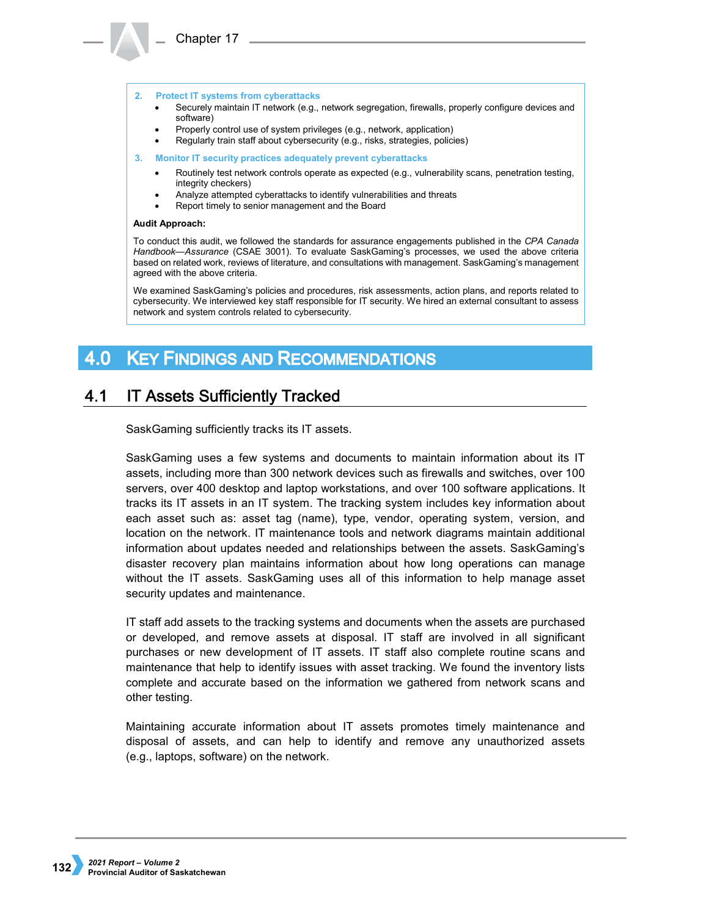## **2. Protect IT systems from cyberattacks**

- Securely maintain IT network (e.g., network segregation, firewalls, properly configure devices and software)
- Properly control use of system privileges (e.g., network, application)
- Regularly train staff about cybersecurity (e.g., risks, strategies, policies)
- **3. Monitor IT security practices adequately prevent cyberattacks**
	- Routinely test network controls operate as expected (e.g., vulnerability scans, penetration testing, integrity checkers)
	- Analyze attempted cyberattacks to identify vulnerabilities and threats
	- Report timely to senior management and the Board

## **Audit Approach:**

To conduct this audit, we followed the standards for assurance engagements published in the *CPA Canada Handbook—Assurance* (CSAE 3001). To evaluate SaskGaming's processes, we used the above criteria based on related work, reviews of literature, and consultations with management. SaskGaming's management agreed with the above criteria.

We examined SaskGaming's policies and procedures, risk assessments, action plans, and reports related to cybersecurity. We interviewed key staff responsible for IT security. We hired an external consultant to assess network and system controls related to cybersecurity.

## 4.0 KEY FINDINGS AND RECOMMENDATIONS

## $4.1$ **IT Assets Sufficiently Tracked**

SaskGaming sufficiently tracks its IT assets.

SaskGaming uses a few systems and documents to maintain information about its IT assets, including more than 300 network devices such as firewalls and switches, over 100 servers, over 400 desktop and laptop workstations, and over 100 software applications. It tracks its IT assets in an IT system. The tracking system includes key information about each asset such as: asset tag (name), type, vendor, operating system, version, and location on the network. IT maintenance tools and network diagrams maintain additional information about updates needed and relationships between the assets. SaskGaming's disaster recovery plan maintains information about how long operations can manage without the IT assets. SaskGaming uses all of this information to help manage asset security updates and maintenance.

IT staff add assets to the tracking systems and documents when the assets are purchased or developed, and remove assets at disposal. IT staff are involved in all significant purchases or new development of IT assets. IT staff also complete routine scans and maintenance that help to identify issues with asset tracking. We found the inventory lists complete and accurate based on the information we gathered from network scans and other testing.

Maintaining accurate information about IT assets promotes timely maintenance and disposal of assets, and can help to identify and remove any unauthorized assets (e.g., laptops, software) on the network.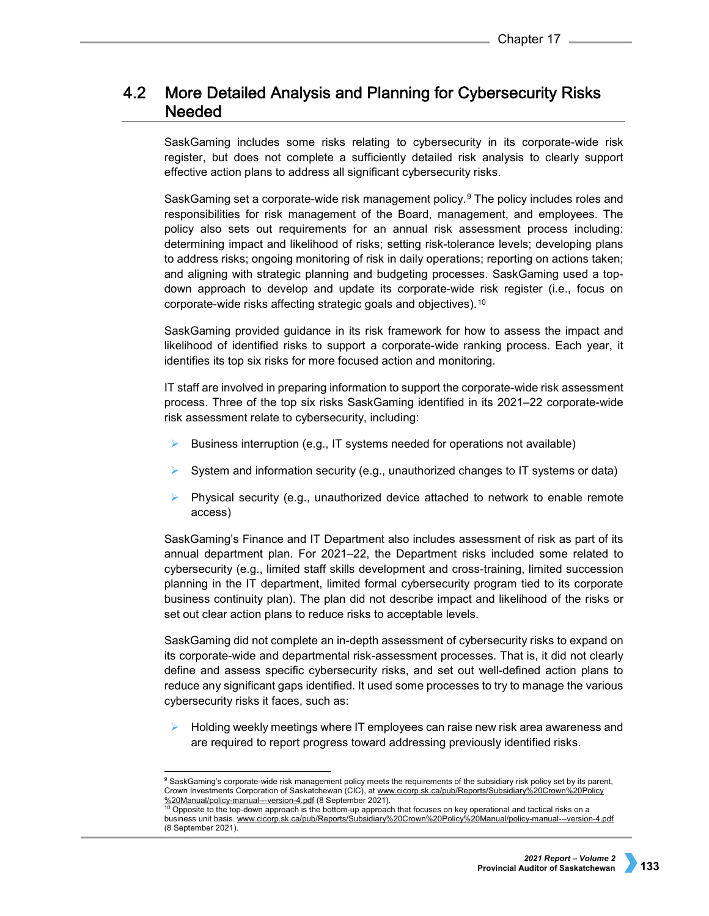# $4.2<sub>1</sub>$ More Detailed Analysis and Planning for Cybersecurity Risks **Needed**

SaskGaming includes some risks relating to cybersecurity in its corporate-wide risk register, but does not complete a sufficiently detailed risk analysis to clearly support effective action plans to address all significant cybersecurity risks.

SaskGaming set a corporate-wide risk management policy.<sup>[9](#page-6-0)</sup> The policy includes roles and responsibilities for risk management of the Board, management, and employees. The policy also sets out requirements for an annual risk assessment process including: determining impact and likelihood of risks; setting risk-tolerance levels; developing plans to address risks; ongoing monitoring of risk in daily operations; reporting on actions taken; and aligning with strategic planning and budgeting processes. SaskGaming used a topdown approach to develop and update its corporate-wide risk register (i.e., focus on corporate-wide risks affecting strategic goals and objectives).[10](#page-6-1)

SaskGaming provided guidance in its risk framework for how to assess the impact and likelihood of identified risks to support a corporate-wide ranking process. Each year, it identifies its top six risks for more focused action and monitoring.

IT staff are involved in preparing information to support the corporate-wide risk assessment process. Three of the top six risks SaskGaming identified in its 2021–22 corporate-wide risk assessment relate to cybersecurity, including:

- Business interruption (e.g., IT systems needed for operations not available)
- $\triangleright$  System and information security (e.g., unauthorized changes to IT systems or data)
- Physical security (e.g., unauthorized device attached to network to enable remote access)

SaskGaming's Finance and IT Department also includes assessment of risk as part of its annual department plan. For 2021–22, the Department risks included some related to cybersecurity (e.g., limited staff skills development and cross-training, limited succession planning in the IT department, limited formal cybersecurity program tied to its corporate business continuity plan). The plan did not describe impact and likelihood of the risks or set out clear action plans to reduce risks to acceptable levels.

SaskGaming did not complete an in-depth assessment of cybersecurity risks to expand on its corporate-wide and departmental risk-assessment processes. That is, it did not clearly define and assess specific cybersecurity risks, and set out well-defined action plans to reduce any significant gaps identified. It used some processes to try to manage the various cybersecurity risks it faces, such as:

 $\triangleright$  Holding weekly meetings where IT employees can raise new risk area awareness and are required to report progress toward addressing previously identified risks.

<span id="page-6-0"></span><sup>9</sup> SaskGaming's corporate-wide risk management policy meets the requirements of the subsidiary risk policy set by its parent, Crown Investments Corporation of Saskatchewan (CIC), at [www.cicorp.sk.ca/pub/Reports/Subsidiary%20Crown%20Policy](http://www.cicorp.sk.ca/pub/Reports/Subsidiary%20Crown%20Policy%20Manual/policy-manual---version-4.pdf)  %20Manual/policy-manual---version-4.pdf [\(](http://www.cicorp.sk.ca/pub/Reports/Subsidiary%20Crown%20Policy%20Manual/policy-manual---version-4.pdf)8 September 2021).<br><sup>10</sup> Opposite to the top-down approach is the bottom-up approach that focuses on key operational and tactical risks on a

<span id="page-6-1"></span>business unit basis. [www.cicorp.sk.ca/pub/Reports/Subsidiary%20Crown%20Policy%20Manual/policy-manual---version-4.pdf](http://www.cicorp.sk.ca/pub/Reports/Subsidiary%20Crown%20Policy%20Manual/policy-manual---version-4.pdf) (8 September 2021).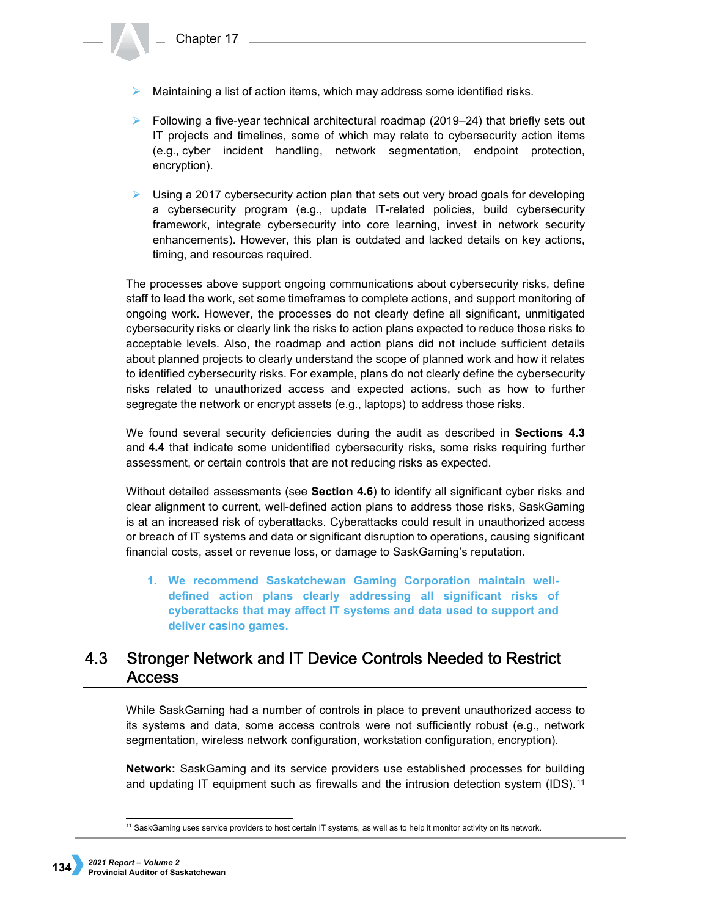- $\triangleright$  Maintaining a list of action items, which may address some identified risks.
- $\triangleright$  Following a five-year technical architectural roadmap (2019–24) that briefly sets out IT projects and timelines, some of which may relate to cybersecurity action items (e.g., cyber incident handling, network segmentation, endpoint protection, encryption).
- $\triangleright$  Using a 2017 cybersecurity action plan that sets out very broad goals for developing a cybersecurity program (e.g., update IT-related policies, build cybersecurity framework, integrate cybersecurity into core learning, invest in network security enhancements). However, this plan is outdated and lacked details on key actions, timing, and resources required.

The processes above support ongoing communications about cybersecurity risks, define staff to lead the work, set some timeframes to complete actions, and support monitoring of ongoing work. However, the processes do not clearly define all significant, unmitigated cybersecurity risks or clearly link the risks to action plans expected to reduce those risks to acceptable levels. Also, the roadmap and action plans did not include sufficient details about planned projects to clearly understand the scope of planned work and how it relates to identified cybersecurity risks. For example, plans do not clearly define the cybersecurity risks related to unauthorized access and expected actions, such as how to further segregate the network or encrypt assets (e.g., laptops) to address those risks.

We found several security deficiencies during the audit as described in **Sections 4.3**  and **4.4** that indicate some unidentified cybersecurity risks, some risks requiring further assessment, or certain controls that are not reducing risks as expected.

Without detailed assessments (see **Section 4.6**) to identify all significant cyber risks and clear alignment to current, well-defined action plans to address those risks, SaskGaming is at an increased risk of cyberattacks. Cyberattacks could result in unauthorized access or breach of IT systems and data or significant disruption to operations, causing significant financial costs, asset or revenue loss, or damage to SaskGaming's reputation.

**1. We recommend Saskatchewan Gaming Corporation maintain welldefined action plans clearly addressing all significant risks of cyberattacks that may affect IT systems and data used to support and deliver casino games.**

# **Stronger Network and IT Device Controls Needed to Restrict**  $4.3<sup>°</sup>$ **Access**

While SaskGaming had a number of controls in place to prevent unauthorized access to its systems and data, some access controls were not sufficiently robust (e.g., network segmentation, wireless network configuration, workstation configuration, encryption).

**Network:** SaskGaming and its service providers use established processes for building and updating IT equipment such as firewalls and the intrusion detection system (IDS).<sup>[11](#page-7-0)</sup>

<span id="page-7-0"></span><sup>&</sup>lt;sup>11</sup> SaskGaming uses service providers to host certain IT systems, as well as to help it monitor activity on its network.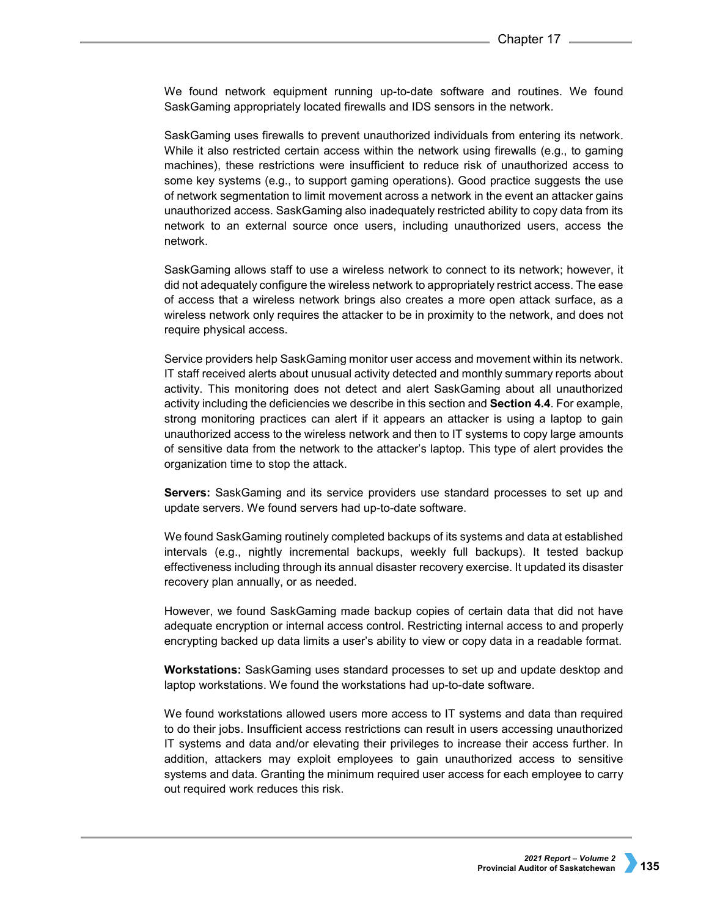We found network equipment running up-to-date software and routines. We found SaskGaming appropriately located firewalls and IDS sensors in the network.

SaskGaming uses firewalls to prevent unauthorized individuals from entering its network. While it also restricted certain access within the network using firewalls (e.g., to gaming machines), these restrictions were insufficient to reduce risk of unauthorized access to some key systems (e.g., to support gaming operations). Good practice suggests the use of network segmentation to limit movement across a network in the event an attacker gains unauthorized access. SaskGaming also inadequately restricted ability to copy data from its network to an external source once users, including unauthorized users, access the network.

SaskGaming allows staff to use a wireless network to connect to its network; however, it did not adequately configure the wireless network to appropriately restrict access. The ease of access that a wireless network brings also creates a more open attack surface, as a wireless network only requires the attacker to be in proximity to the network, and does not require physical access.

Service providers help SaskGaming monitor user access and movement within its network. IT staff received alerts about unusual activity detected and monthly summary reports about activity. This monitoring does not detect and alert SaskGaming about all unauthorized activity including the deficiencies we describe in this section and **Section 4.4**. For example, strong monitoring practices can alert if it appears an attacker is using a laptop to gain unauthorized access to the wireless network and then to IT systems to copy large amounts of sensitive data from the network to the attacker's laptop. This type of alert provides the organization time to stop the attack.

**Servers:** SaskGaming and its service providers use standard processes to set up and update servers. We found servers had up-to-date software.

We found SaskGaming routinely completed backups of its systems and data at established intervals (e.g., nightly incremental backups, weekly full backups). It tested backup effectiveness including through its annual disaster recovery exercise. It updated its disaster recovery plan annually, or as needed.

However, we found SaskGaming made backup copies of certain data that did not have adequate encryption or internal access control. Restricting internal access to and properly encrypting backed up data limits a user's ability to view or copy data in a readable format.

**Workstations:** SaskGaming uses standard processes to set up and update desktop and laptop workstations. We found the workstations had up-to-date software.

We found workstations allowed users more access to IT systems and data than required to do their jobs. Insufficient access restrictions can result in users accessing unauthorized IT systems and data and/or elevating their privileges to increase their access further. In addition, attackers may exploit employees to gain unauthorized access to sensitive systems and data. Granting the minimum required user access for each employee to carry out required work reduces this risk.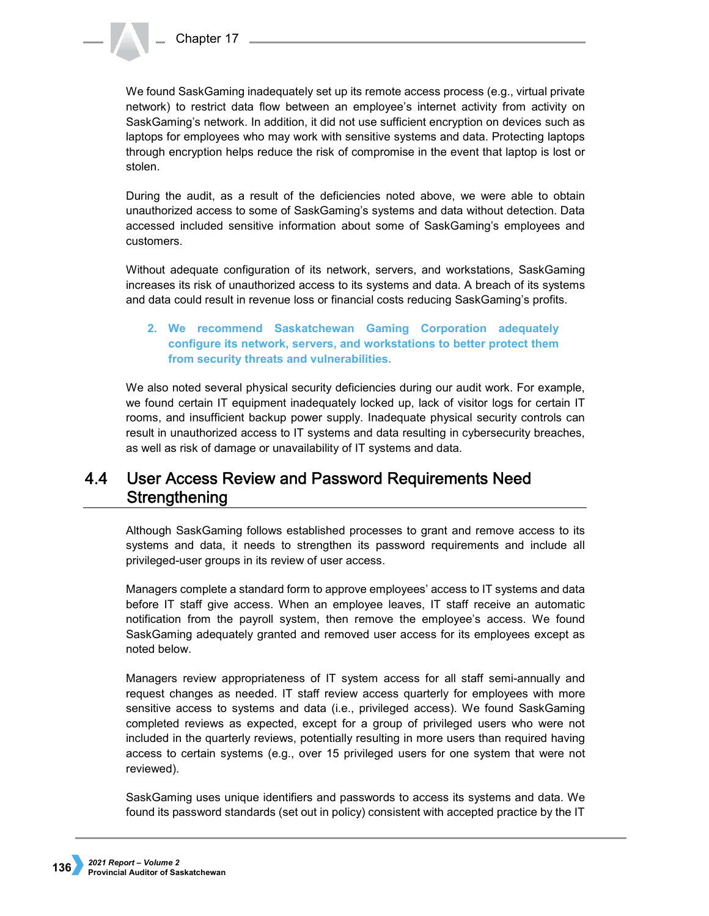We found SaskGaming inadequately set up its remote access process (e.g., virtual private network) to restrict data flow between an employee's internet activity from activity on SaskGaming's network. In addition, it did not use sufficient encryption on devices such as laptops for employees who may work with sensitive systems and data. Protecting laptops through encryption helps reduce the risk of compromise in the event that laptop is lost or stolen.

During the audit, as a result of the deficiencies noted above, we were able to obtain unauthorized access to some of SaskGaming's systems and data without detection. Data accessed included sensitive information about some of SaskGaming's employees and customers.

Without adequate configuration of its network, servers, and workstations, SaskGaming increases its risk of unauthorized access to its systems and data. A breach of its systems and data could result in revenue loss or financial costs reducing SaskGaming's profits.

# **2. We recommend Saskatchewan Gaming Corporation adequately configure its network, servers, and workstations to better protect them from security threats and vulnerabilities.**

We also noted several physical security deficiencies during our audit work. For example, we found certain IT equipment inadequately locked up, lack of visitor logs for certain IT rooms, and insufficient backup power supply. Inadequate physical security controls can result in unauthorized access to IT systems and data resulting in cybersecurity breaches, as well as risk of damage or unavailability of IT systems and data.

# $4.4$ User Access Review and Password Requirements Need Strengthening

Although SaskGaming follows established processes to grant and remove access to its systems and data, it needs to strengthen its password requirements and include all privileged-user groups in its review of user access.

Managers complete a standard form to approve employees' access to IT systems and data before IT staff give access. When an employee leaves, IT staff receive an automatic notification from the payroll system, then remove the employee's access. We found SaskGaming adequately granted and removed user access for its employees except as noted below.

Managers review appropriateness of IT system access for all staff semi-annually and request changes as needed. IT staff review access quarterly for employees with more sensitive access to systems and data (i.e., privileged access). We found SaskGaming completed reviews as expected, except for a group of privileged users who were not included in the quarterly reviews, potentially resulting in more users than required having access to certain systems (e.g., over 15 privileged users for one system that were not reviewed).

SaskGaming uses unique identifiers and passwords to access its systems and data. We found its password standards (set out in policy) consistent with accepted practice by the IT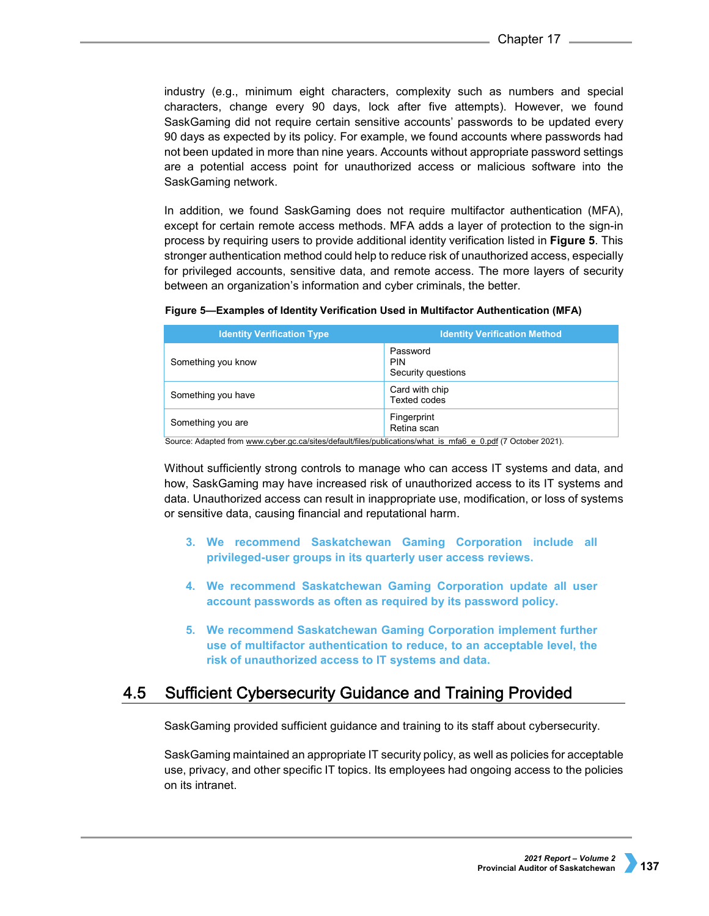industry (e.g., minimum eight characters, complexity such as numbers and special characters, change every 90 days, lock after five attempts). However, we found SaskGaming did not require certain sensitive accounts' passwords to be updated every 90 days as expected by its policy. For example, we found accounts where passwords had not been updated in more than nine years. Accounts without appropriate password settings are a potential access point for unauthorized access or malicious software into the SaskGaming network.

In addition, we found SaskGaming does not require multifactor authentication (MFA), except for certain remote access methods. MFA adds a layer of protection to the sign-in process by requiring users to provide additional identity verification listed in **Figure 5**. This stronger authentication method could help to reduce risk of unauthorized access, especially for privileged accounts, sensitive data, and remote access. The more layers of security between an organization's information and cyber criminals, the better.

|  | Figure 5-Examples of Identity Verification Used in Multifactor Authentication (MFA) |  |
|--|-------------------------------------------------------------------------------------|--|
|--|-------------------------------------------------------------------------------------|--|

| <b>Identity Verification Type</b>                                                                             | <b>Identity Verification Method</b>   |  |
|---------------------------------------------------------------------------------------------------------------|---------------------------------------|--|
| Something you know                                                                                            | Password<br>PIN<br>Security questions |  |
| Something you have                                                                                            | Card with chip<br><b>Texted codes</b> |  |
| Something you are                                                                                             | Fingerprint<br>Retina scan            |  |
| Course, Adapted from ususu orker as soloited default files burblications what is mfsC a Ondf (7 October 0001) |                                       |  |

Irce: Adapted fro[m www.cyber.gc.ca/sites/default/files/publications/what\\_is\\_mfa6\\_e\\_0.pdf](http://www.cyber.gc.ca/sites/default/files/publications/what_is_mfa6_e_0.pdf) (7 October 2021).

Without sufficiently strong controls to manage who can access IT systems and data, and how, SaskGaming may have increased risk of unauthorized access to its IT systems and data. Unauthorized access can result in inappropriate use, modification, or loss of systems or sensitive data, causing financial and reputational harm.

- **3. We recommend Saskatchewan Gaming Corporation include all privileged-user groups in its quarterly user access reviews.**
- **4. We recommend Saskatchewan Gaming Corporation update all user account passwords as often as required by its password policy.**
- **5. We recommend Saskatchewan Gaming Corporation implement further use of multifactor authentication to reduce, to an acceptable level, the risk of unauthorized access to IT systems and data.**

## 4.5 **Sufficient Cybersecurity Guidance and Training Provided**

SaskGaming provided sufficient guidance and training to its staff about cybersecurity.

SaskGaming maintained an appropriate IT security policy, as well as policies for acceptable use, privacy, and other specific IT topics. Its employees had ongoing access to the policies on its intranet.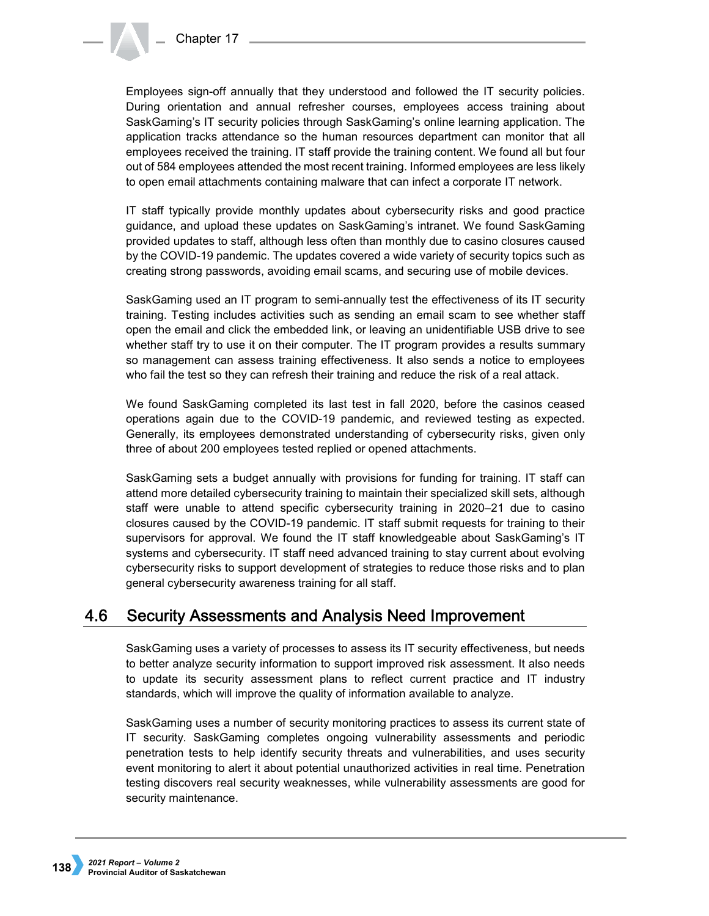Employees sign-off annually that they understood and followed the IT security policies. During orientation and annual refresher courses, employees access training about SaskGaming's IT security policies through SaskGaming's online learning application. The application tracks attendance so the human resources department can monitor that all employees received the training. IT staff provide the training content. We found all but four out of 584 employees attended the most recent training. Informed employees are less likely to open email attachments containing malware that can infect a corporate IT network.

IT staff typically provide monthly updates about cybersecurity risks and good practice guidance, and upload these updates on SaskGaming's intranet. We found SaskGaming provided updates to staff, although less often than monthly due to casino closures caused by the COVID-19 pandemic. The updates covered a wide variety of security topics such as creating strong passwords, avoiding email scams, and securing use of mobile devices.

SaskGaming used an IT program to semi-annually test the effectiveness of its IT security training. Testing includes activities such as sending an email scam to see whether staff open the email and click the embedded link, or leaving an unidentifiable USB drive to see whether staff try to use it on their computer. The IT program provides a results summary so management can assess training effectiveness. It also sends a notice to employees who fail the test so they can refresh their training and reduce the risk of a real attack.

We found SaskGaming completed its last test in fall 2020, before the casinos ceased operations again due to the COVID-19 pandemic, and reviewed testing as expected. Generally, its employees demonstrated understanding of cybersecurity risks, given only three of about 200 employees tested replied or opened attachments.

SaskGaming sets a budget annually with provisions for funding for training. IT staff can attend more detailed cybersecurity training to maintain their specialized skill sets, although staff were unable to attend specific cybersecurity training in 2020–21 due to casino closures caused by the COVID-19 pandemic. IT staff submit requests for training to their supervisors for approval. We found the IT staff knowledgeable about SaskGaming's IT systems and cybersecurity. IT staff need advanced training to stay current about evolving cybersecurity risks to support development of strategies to reduce those risks and to plan general cybersecurity awareness training for all staff.

## 4.6 Security Assessments and Analysis Need Improvement

SaskGaming uses a variety of processes to assess its IT security effectiveness, but needs to better analyze security information to support improved risk assessment. It also needs to update its security assessment plans to reflect current practice and IT industry standards, which will improve the quality of information available to analyze.

SaskGaming uses a number of security monitoring practices to assess its current state of IT security. SaskGaming completes ongoing vulnerability assessments and periodic penetration tests to help identify security threats and vulnerabilities, and uses security event monitoring to alert it about potential unauthorized activities in real time. Penetration testing discovers real security weaknesses, while vulnerability assessments are good for security maintenance.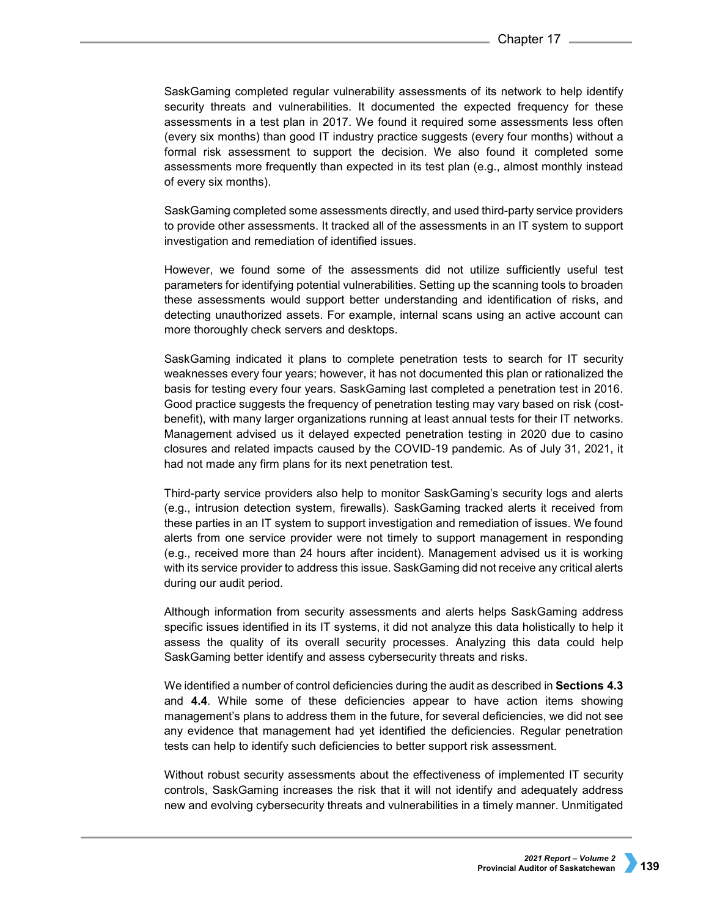SaskGaming completed regular vulnerability assessments of its network to help identify security threats and vulnerabilities. It documented the expected frequency for these assessments in a test plan in 2017. We found it required some assessments less often (every six months) than good IT industry practice suggests (every four months) without a formal risk assessment to support the decision. We also found it completed some assessments more frequently than expected in its test plan (e.g., almost monthly instead of every six months).

SaskGaming completed some assessments directly, and used third-party service providers to provide other assessments. It tracked all of the assessments in an IT system to support investigation and remediation of identified issues.

However, we found some of the assessments did not utilize sufficiently useful test parameters for identifying potential vulnerabilities. Setting up the scanning tools to broaden these assessments would support better understanding and identification of risks, and detecting unauthorized assets. For example, internal scans using an active account can more thoroughly check servers and desktops.

SaskGaming indicated it plans to complete penetration tests to search for IT security weaknesses every four years; however, it has not documented this plan or rationalized the basis for testing every four years. SaskGaming last completed a penetration test in 2016. Good practice suggests the frequency of penetration testing may vary based on risk (costbenefit), with many larger organizations running at least annual tests for their IT networks. Management advised us it delayed expected penetration testing in 2020 due to casino closures and related impacts caused by the COVID-19 pandemic. As of July 31, 2021, it had not made any firm plans for its next penetration test.

Third-party service providers also help to monitor SaskGaming's security logs and alerts (e.g., intrusion detection system, firewalls). SaskGaming tracked alerts it received from these parties in an IT system to support investigation and remediation of issues. We found alerts from one service provider were not timely to support management in responding (e.g., received more than 24 hours after incident). Management advised us it is working with its service provider to address this issue. SaskGaming did not receive any critical alerts during our audit period.

Although information from security assessments and alerts helps SaskGaming address specific issues identified in its IT systems, it did not analyze this data holistically to help it assess the quality of its overall security processes. Analyzing this data could help SaskGaming better identify and assess cybersecurity threats and risks.

We identified a number of control deficiencies during the audit as described in **Sections 4.3**  and **4.4**. While some of these deficiencies appear to have action items showing management's plans to address them in the future, for several deficiencies, we did not see any evidence that management had yet identified the deficiencies. Regular penetration tests can help to identify such deficiencies to better support risk assessment.

Without robust security assessments about the effectiveness of implemented IT security controls, SaskGaming increases the risk that it will not identify and adequately address new and evolving cybersecurity threats and vulnerabilities in a timely manner. Unmitigated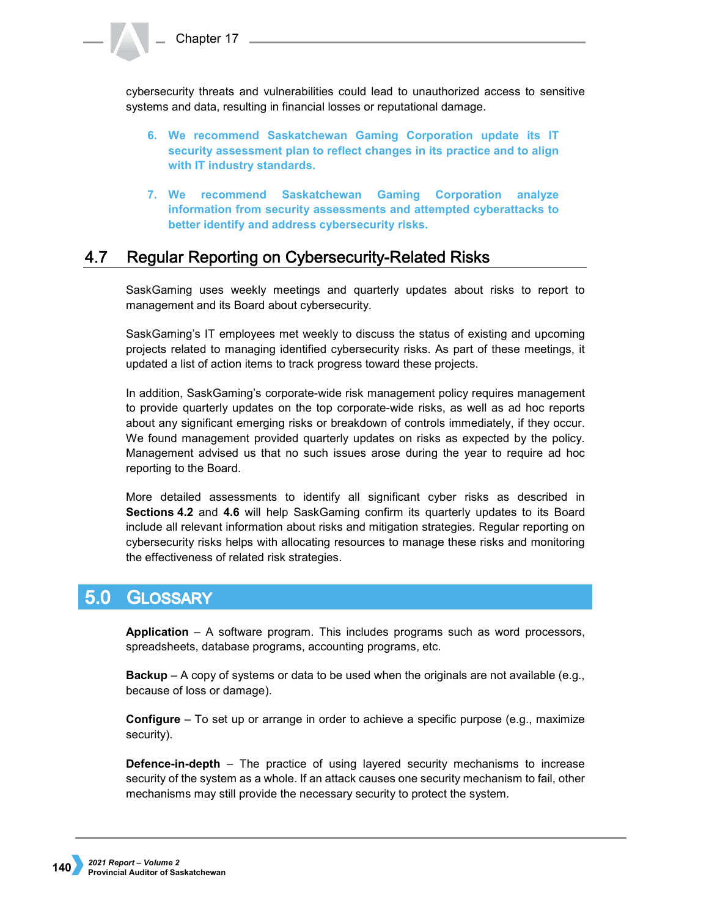cybersecurity threats and vulnerabilities could lead to unauthorized access to sensitive systems and data, resulting in financial losses or reputational damage.

- **6. We recommend Saskatchewan Gaming Corporation update its IT security assessment plan to reflect changes in its practice and to align with IT industry standards.**
- **7. We recommend Saskatchewan Gaming Corporation analyze information from security assessments and attempted cyberattacks to better identify and address cybersecurity risks.**

## 4.7 Regular Reporting on Cybersecurity-Related Risks

SaskGaming uses weekly meetings and quarterly updates about risks to report to management and its Board about cybersecurity.

SaskGaming's IT employees met weekly to discuss the status of existing and upcoming projects related to managing identified cybersecurity risks. As part of these meetings, it updated a list of action items to track progress toward these projects.

In addition, SaskGaming's corporate-wide risk management policy requires management to provide quarterly updates on the top corporate-wide risks, as well as ad hoc reports about any significant emerging risks or breakdown of controls immediately, if they occur. We found management provided quarterly updates on risks as expected by the policy. Management advised us that no such issues arose during the year to require ad hoc reporting to the Board.

More detailed assessments to identify all significant cyber risks as described in **Sections 4.2** and **4.6** will help SaskGaming confirm its quarterly updates to its Board include all relevant information about risks and mitigation strategies. Regular reporting on cybersecurity risks helps with allocating resources to manage these risks and monitoring the effectiveness of related risk strategies.

## $5.0<sub>1</sub>$ **GLOSSARY**

**Application** – A software program. This includes programs such as word processors, spreadsheets, database programs, accounting programs, etc.

**Backup** – A copy of systems or data to be used when the originals are not available (e.g., because of loss or damage).

**Configure** – To set up or arrange in order to achieve a specific purpose (e.g., maximize security).

**Defence-in-depth** – The practice of using layered security mechanisms to increase security of the system as a whole. If an attack causes one security mechanism to fail, other mechanisms may still provide the necessary security to protect the system.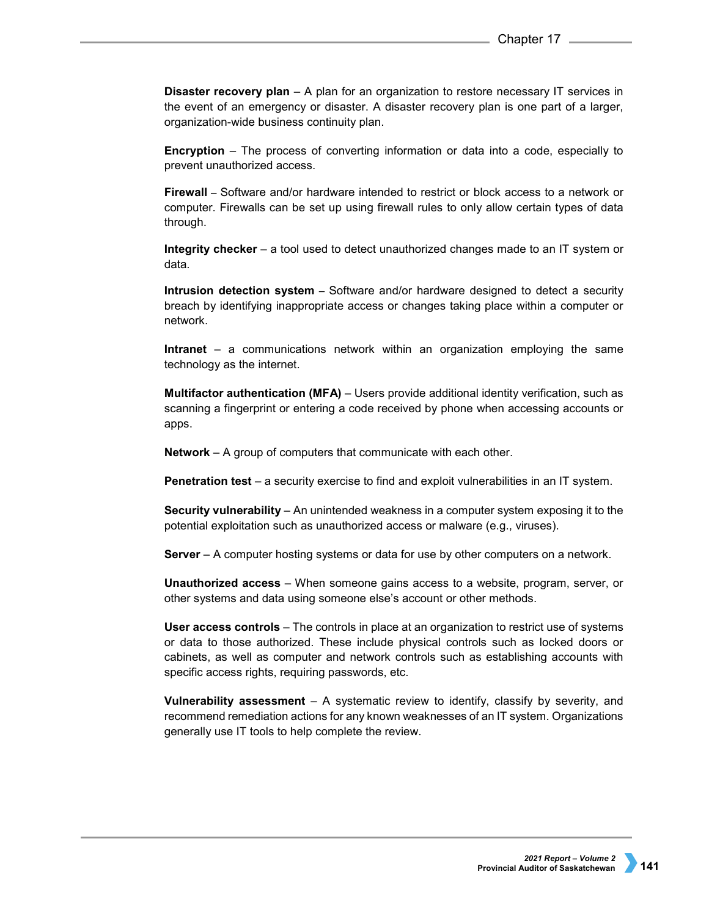**Disaster recovery plan** – A plan for an organization to restore necessary IT services in the event of an emergency or disaster. A disaster recovery plan is one part of a larger, organization-wide business continuity plan.

**Encryption** – The process of converting information or data into a code, especially to prevent unauthorized access.

**Firewall** – Software and/or hardware intended to restrict or block access to a network or computer. Firewalls can be set up using firewall rules to only allow certain types of data through.

**Integrity checker** – a tool used to detect unauthorized changes made to an IT system or data.

**Intrusion detection system** – Software and/or hardware designed to detect a security breach by identifying inappropriate access or changes taking place within a computer or network.

**Intranet** – a communications network within an organization employing the same technology as the internet.

**Multifactor authentication (MFA)** – Users provide additional identity verification, such as scanning a fingerprint or entering a code received by phone when accessing accounts or apps.

**Network** – A group of computers that communicate with each other.

**Penetration test** – a security exercise to find and exploit vulnerabilities in an IT system.

**Security vulnerability** – An unintended weakness in a computer system exposing it to the potential exploitation such as unauthorized access or malware (e.g., viruses).

**Server** – A computer hosting systems or data for use by other computers on a network.

**Unauthorized access** – When someone gains access to a website, program, server, or other systems and data using someone else's account or other methods.

**User access controls** – The controls in place at an organization to restrict use of systems or data to those authorized. These include physical controls such as locked doors or cabinets, as well as computer and network controls such as establishing accounts with specific access rights, requiring passwords, etc.

**Vulnerability assessment** – A systematic review to identify, classify by severity, and recommend remediation actions for any known weaknesses of an IT system. Organizations generally use IT tools to help complete the review.